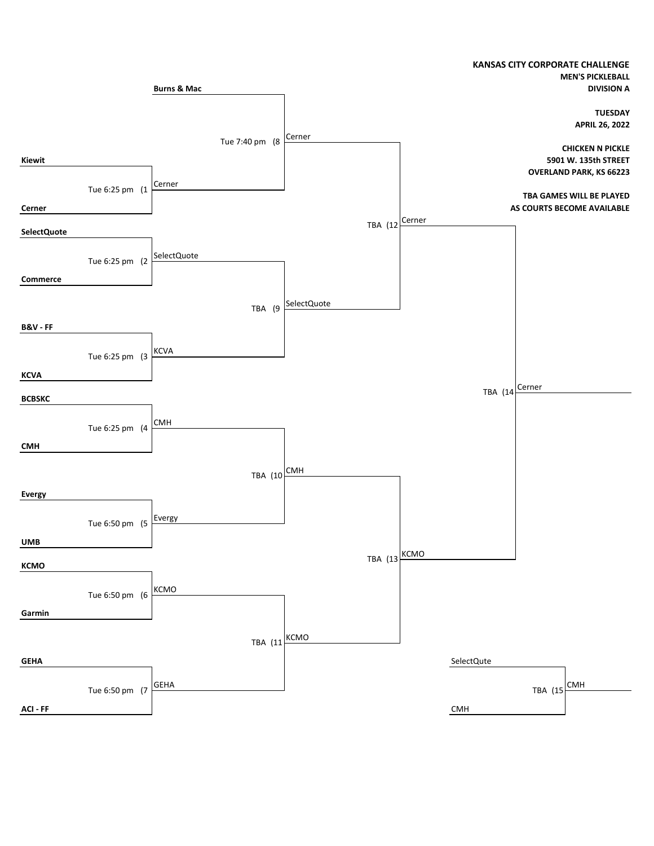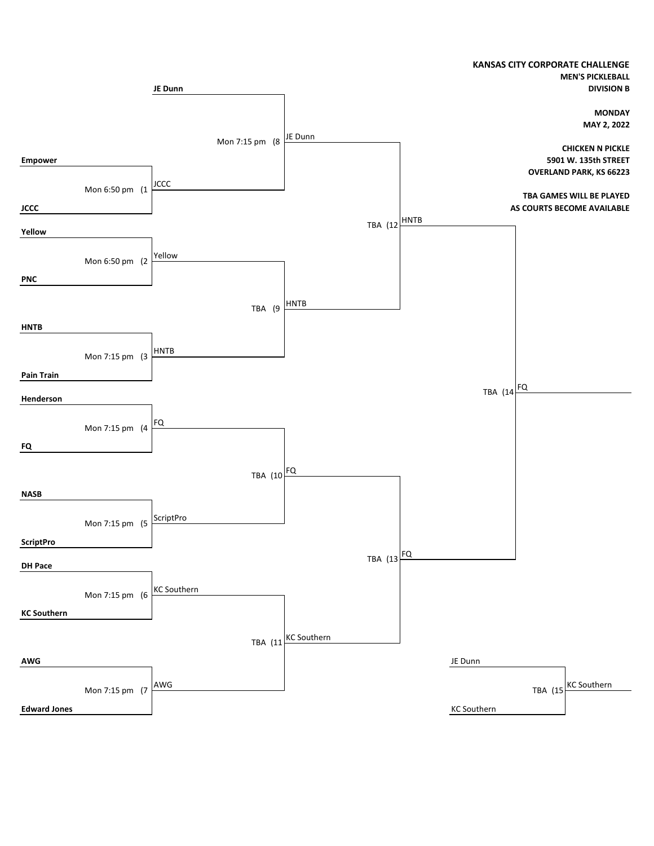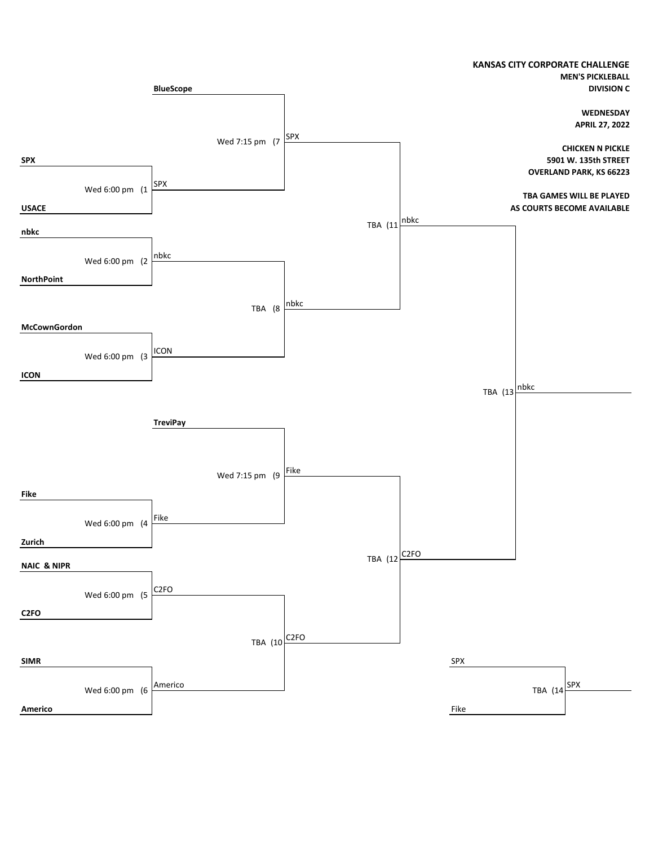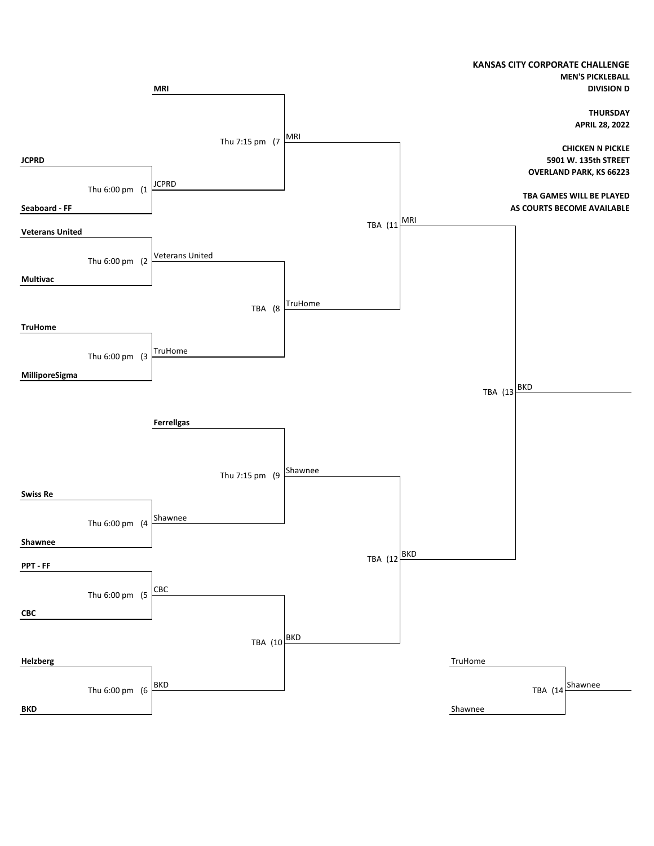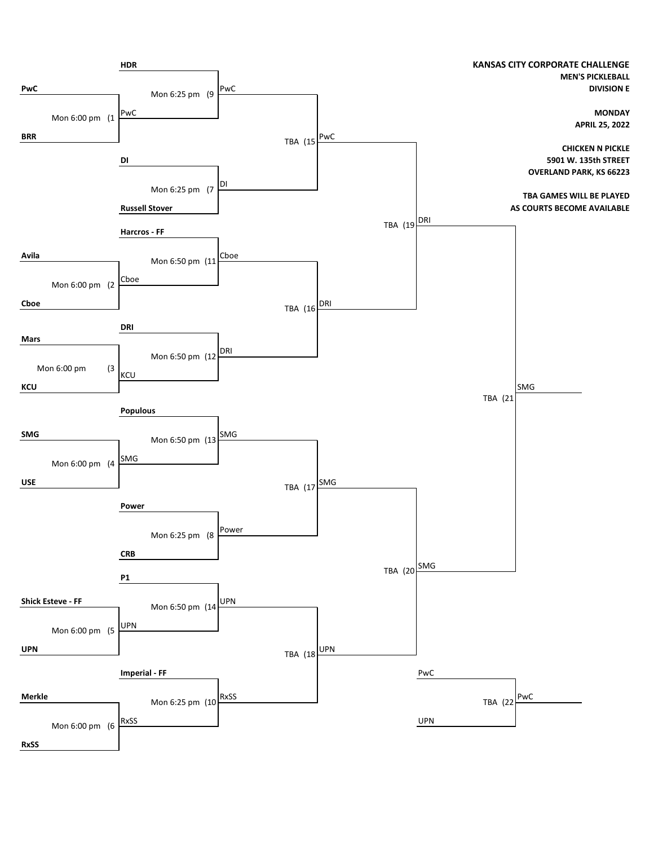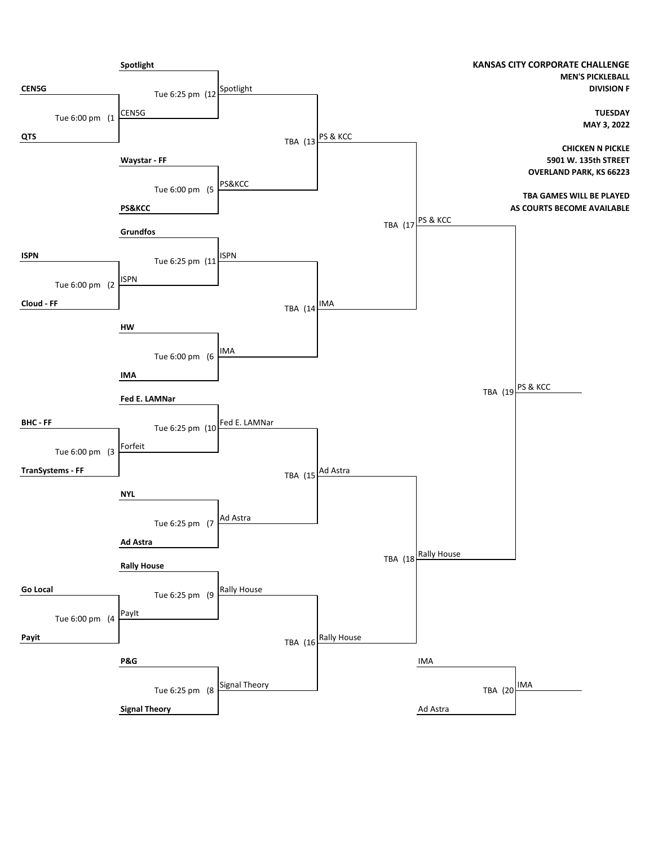